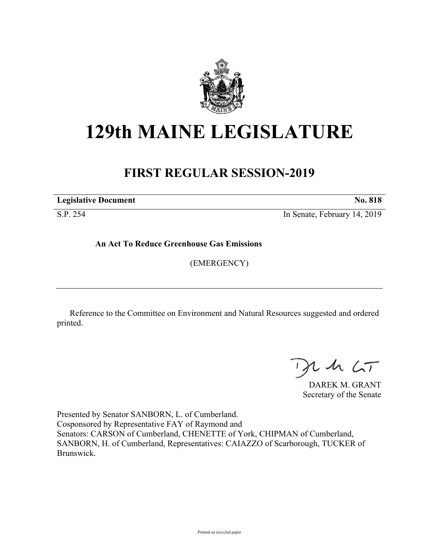

# **129th MAINE LEGISLATURE**

# **FIRST REGULAR SESSION-2019**

**Legislative Document No. 818**

S.P. 254 In Senate, February 14, 2019

**An Act To Reduce Greenhouse Gas Emissions**

(EMERGENCY)

Reference to the Committee on Environment and Natural Resources suggested and ordered printed.

 $2.42 < \tau$ 

DAREK M. GRANT Secretary of the Senate

Presented by Senator SANBORN, L. of Cumberland. Cosponsored by Representative FAY of Raymond and Senators: CARSON of Cumberland, CHENETTE of York, CHIPMAN of Cumberland, SANBORN, H. of Cumberland, Representatives: CAIAZZO of Scarborough, TUCKER of Brunswick.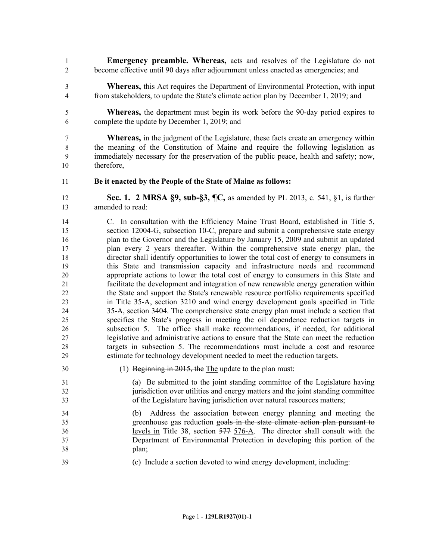- **Emergency preamble. Whereas,** acts and resolves of the Legislature do not become effective until 90 days after adjournment unless enacted as emergencies; and
- **Whereas,** this Act requires the Department of Environmental Protection, with input from stakeholders, to update the State's climate action plan by December 1, 2019; and
- **Whereas,** the department must begin its work before the 90-day period expires to complete the update by December 1, 2019; and

 **Whereas,** in the judgment of the Legislature, these facts create an emergency within the meaning of the Constitution of Maine and require the following legislation as immediately necessary for the preservation of the public peace, health and safety; now, therefore,

**Be it enacted by the People of the State of Maine as follows:**

 **Sec. 1. 2 MRSA §9, sub-§3, ¶C,** as amended by PL 2013, c. 541, §1, is further amended to read:

- C. In consultation with the Efficiency Maine Trust Board, established in Title 5, section 12004-G, subsection 10-C, prepare and submit a comprehensive state energy plan to the Governor and the Legislature by January 15, 2009 and submit an updated plan every 2 years thereafter. Within the comprehensive state energy plan, the director shall identify opportunities to lower the total cost of energy to consumers in this State and transmission capacity and infrastructure needs and recommend appropriate actions to lower the total cost of energy to consumers in this State and facilitate the development and integration of new renewable energy generation within the State and support the State's renewable resource portfolio requirements specified in Title 35-A, section 3210 and wind energy development goals specified in Title 35-A, section 3404. The comprehensive state energy plan must include a section that specifies the State's progress in meeting the oil dependence reduction targets in subsection 5. The office shall make recommendations, if needed, for additional legislative and administrative actions to ensure that the State can meet the reduction targets in subsection 5. The recommendations must include a cost and resource estimate for technology development needed to meet the reduction targets.
- (1) Beginning in 2015, the The update to the plan must:
- (a) Be submitted to the joint standing committee of the Legislature having jurisdiction over utilities and energy matters and the joint standing committee of the Legislature having jurisdiction over natural resources matters;
- (b) Address the association between energy planning and meeting the greenhouse gas reduction goals in the state climate action plan pursuant to levels in Title 38, section 577 576-A. The director shall consult with the Department of Environmental Protection in developing this portion of the plan;
- (c) Include a section devoted to wind energy development, including: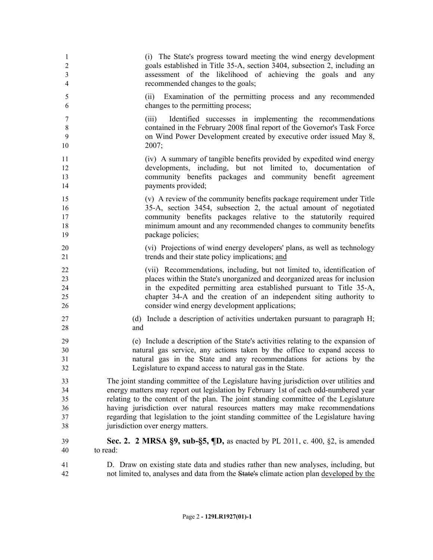| 1                 | (i) The State's progress toward meeting the wind energy development                                                                                                                                                          |
|-------------------|------------------------------------------------------------------------------------------------------------------------------------------------------------------------------------------------------------------------------|
| $\overline{2}$    | goals established in Title 35-A, section 3404, subsection 2, including an                                                                                                                                                    |
| $\mathfrak{Z}$    | assessment of the likelihood of achieving the goals and any                                                                                                                                                                  |
| 4                 | recommended changes to the goals;                                                                                                                                                                                            |
| 5<br>6            | Examination of the permitting process and any recommended<br>(ii)<br>changes to the permitting process;                                                                                                                      |
| 7<br>8<br>9<br>10 | Identified successes in implementing the recommendations<br>(iii)<br>contained in the February 2008 final report of the Governor's Task Force<br>on Wind Power Development created by executive order issued May 8,<br>2007; |
| 11                | (iv) A summary of tangible benefits provided by expedited wind energy                                                                                                                                                        |
| 12                | developments, including, but not limited to, documentation of                                                                                                                                                                |
| 13                | community benefits packages and community benefit agreement                                                                                                                                                                  |
| 14                | payments provided;                                                                                                                                                                                                           |
| 15                | (v) A review of the community benefits package requirement under Title                                                                                                                                                       |
| 16                | 35-A, section 3454, subsection 2, the actual amount of negotiated                                                                                                                                                            |
| 17                | community benefits packages relative to the statutorily required                                                                                                                                                             |
| 18                | minimum amount and any recommended changes to community benefits                                                                                                                                                             |
| 19                | package policies;                                                                                                                                                                                                            |
| 20                | (vi) Projections of wind energy developers' plans, as well as technology                                                                                                                                                     |
| 21                | trends and their state policy implications; and                                                                                                                                                                              |
| 22                | (vii) Recommendations, including, but not limited to, identification of                                                                                                                                                      |
| 23                | places within the State's unorganized and deorganized areas for inclusion                                                                                                                                                    |
| 24                | in the expedited permitting area established pursuant to Title 35-A,                                                                                                                                                         |
| 25                | chapter 34-A and the creation of an independent siting authority to                                                                                                                                                          |
| 26                | consider wind energy development applications;                                                                                                                                                                               |
| 27                | (d) Include a description of activities undertaken pursuant to paragraph H;                                                                                                                                                  |
| 28                | and                                                                                                                                                                                                                          |
| 29                | (e) Include a description of the State's activities relating to the expansion of                                                                                                                                             |
| 30                | natural gas service, any actions taken by the office to expand access to                                                                                                                                                     |
| 31                | natural gas in the State and any recommendations for actions by the                                                                                                                                                          |
| 32                | Legislature to expand access to natural gas in the State.                                                                                                                                                                    |
| 33                | The joint standing committee of the Legislature having jurisdiction over utilities and                                                                                                                                       |
| 34                | energy matters may report out legislation by February 1st of each odd-numbered year                                                                                                                                          |
| 35                | relating to the content of the plan. The joint standing committee of the Legislature                                                                                                                                         |
| 36                | having jurisdiction over natural resources matters may make recommendations                                                                                                                                                  |
| 37                | regarding that legislation to the joint standing committee of the Legislature having                                                                                                                                         |
| 38                | jurisdiction over energy matters.                                                                                                                                                                                            |
| 39                | <b>Sec. 2. 2 MRSA §9, sub-§5, <math>\P</math>D,</b> as enacted by PL 2011, c. 400, §2, is amended                                                                                                                            |
| 40                | to read:                                                                                                                                                                                                                     |
| 41                | D. Draw on existing state data and studies rather than new analyses, including, but                                                                                                                                          |
| 42                | not limited to, analyses and data from the State's climate action plan developed by the                                                                                                                                      |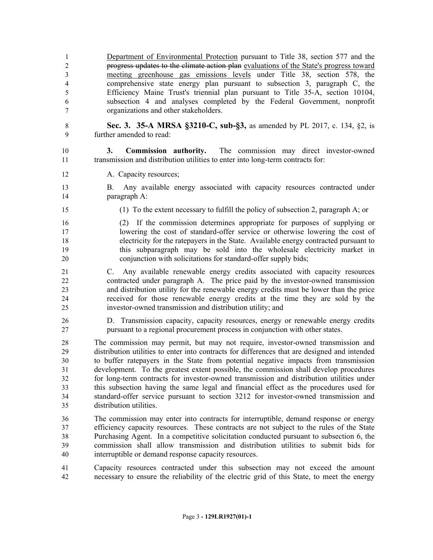1 Department of Environmental Protection pursuant to Title 38, section 577 and the progress updates to the climate action plan evaluations of the State's progress toward meeting greenhouse gas emissions levels under Title 38, section 578, the comprehensive state energy plan pursuant to subsection 3, paragraph C, the Efficiency Maine Trust's triennial plan pursuant to Title 35-A, section 10104, subsection 4 and analyses completed by the Federal Government, nonprofit organizations and other stakeholders.

 **Sec. 3. 35-A MRSA §3210-C, sub-§3,** as amended by PL 2017, c. 134, §2, is further amended to read:

 **3. Commission authority.** The commission may direct investor-owned transmission and distribution utilities to enter into long-term contracts for:

12 A. Capacity resources;

 B. Any available energy associated with capacity resources contracted under paragraph A:

(1) To the extent necessary to fulfill the policy of subsection 2, paragraph A; or

 (2) If the commission determines appropriate for purposes of supplying or lowering the cost of standard-offer service or otherwise lowering the cost of electricity for the ratepayers in the State. Available energy contracted pursuant to this subparagraph may be sold into the wholesale electricity market in conjunction with solicitations for standard-offer supply bids;

 C. Any available renewable energy credits associated with capacity resources contracted under paragraph A. The price paid by the investor-owned transmission and distribution utility for the renewable energy credits must be lower than the price received for those renewable energy credits at the time they are sold by the investor-owned transmission and distribution utility; and

 D. Transmission capacity, capacity resources, energy or renewable energy credits pursuant to a regional procurement process in conjunction with other states.

 The commission may permit, but may not require, investor-owned transmission and distribution utilities to enter into contracts for differences that are designed and intended to buffer ratepayers in the State from potential negative impacts from transmission development. To the greatest extent possible, the commission shall develop procedures for long-term contracts for investor-owned transmission and distribution utilities under this subsection having the same legal and financial effect as the procedures used for standard-offer service pursuant to section 3212 for investor-owned transmission and distribution utilities.

 The commission may enter into contracts for interruptible, demand response or energy efficiency capacity resources. These contracts are not subject to the rules of the State Purchasing Agent. In a competitive solicitation conducted pursuant to subsection 6, the commission shall allow transmission and distribution utilities to submit bids for interruptible or demand response capacity resources.

 Capacity resources contracted under this subsection may not exceed the amount necessary to ensure the reliability of the electric grid of this State, to meet the energy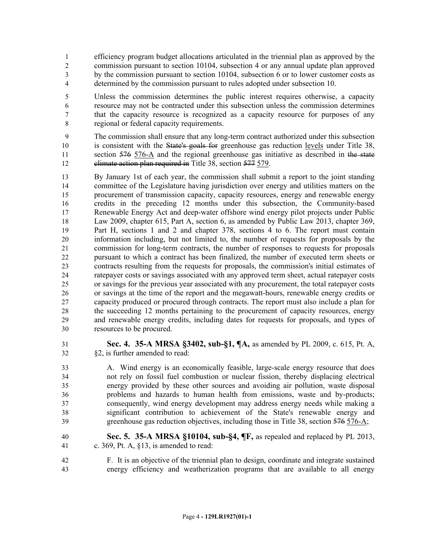- efficiency program budget allocations articulated in the triennial plan as approved by the commission pursuant to section 10104, subsection 4 or any annual update plan approved by the commission pursuant to section 10104, subsection 6 or to lower customer costs as determined by the commission pursuant to rules adopted under subsection 10.
- Unless the commission determines the public interest requires otherwise, a capacity resource may not be contracted under this subsection unless the commission determines that the capacity resource is recognized as a capacity resource for purposes of any regional or federal capacity requirements.
- The commission shall ensure that any long-term contract authorized under this subsection 10 is consistent with the State's goals for greenhouse gas reduction levels under Title 38, 11 section 576 576-A and the regional greenhouse gas initiative as described in the state 12 climate action plan required in Title 38, section 577 579.
- By January 1st of each year, the commission shall submit a report to the joint standing committee of the Legislature having jurisdiction over energy and utilities matters on the procurement of transmission capacity, capacity resources, energy and renewable energy credits in the preceding 12 months under this subsection, the Community-based Renewable Energy Act and deep-water offshore wind energy pilot projects under Public Law 2009, chapter 615, Part A, section 6, as amended by Public Law 2013, chapter 369, Part H, sections 1 and 2 and chapter 378, sections 4 to 6. The report must contain information including, but not limited to, the number of requests for proposals by the commission for long-term contracts, the number of responses to requests for proposals pursuant to which a contract has been finalized, the number of executed term sheets or contracts resulting from the requests for proposals, the commission's initial estimates of ratepayer costs or savings associated with any approved term sheet, actual ratepayer costs or savings for the previous year associated with any procurement, the total ratepayer costs or savings at the time of the report and the megawatt-hours, renewable energy credits or capacity produced or procured through contracts. The report must also include a plan for 28 the succeeding 12 months pertaining to the procurement of capacity resources, energy and renewable energy credits, including dates for requests for proposals, and types of resources to be procured.
- 

 **Sec. 4. 35-A MRSA §3402, sub-§1, ¶A,** as amended by PL 2009, c. 615, Pt. A, §2, is further amended to read:

 A. Wind energy is an economically feasible, large-scale energy resource that does not rely on fossil fuel combustion or nuclear fission, thereby displacing electrical energy provided by these other sources and avoiding air pollution, waste disposal problems and hazards to human health from emissions, waste and by-products; consequently, wind energy development may address energy needs while making a significant contribution to achievement of the State's renewable energy and greenhouse gas reduction objectives, including those in Title 38, section 576 576-A;

- **Sec. 5. 35-A MRSA §10104, sub-§4, ¶F,** as repealed and replaced by PL 2013, c. 369, Pt. A, §13, is amended to read:
- F. It is an objective of the triennial plan to design, coordinate and integrate sustained energy efficiency and weatherization programs that are available to all energy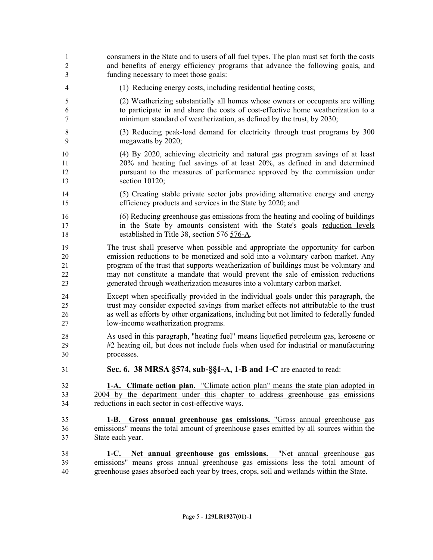consumers in the State and to users of all fuel types. The plan must set forth the costs and benefits of energy efficiency programs that advance the following goals, and funding necessary to meet those goals: (1) Reducing energy costs, including residential heating costs; (2) Weatherizing substantially all homes whose owners or occupants are willing to participate in and share the costs of cost-effective home weatherization to a minimum standard of weatherization, as defined by the trust, by 2030; (3) Reducing peak-load demand for electricity through trust programs by 300 megawatts by 2020; (4) By 2020, achieving electricity and natural gas program savings of at least 20% and heating fuel savings of at least 20%, as defined in and determined pursuant to the measures of performance approved by the commission under section 10120; (5) Creating stable private sector jobs providing alternative energy and energy efficiency products and services in the State by 2020; and (6) Reducing greenhouse gas emissions from the heating and cooling of buildings 17 in the State by amounts consistent with the State's goals reduction levels established in Title 38, section 576 576-A. The trust shall preserve when possible and appropriate the opportunity for carbon emission reductions to be monetized and sold into a voluntary carbon market. Any program of the trust that supports weatherization of buildings must be voluntary and may not constitute a mandate that would prevent the sale of emission reductions generated through weatherization measures into a voluntary carbon market. Except when specifically provided in the individual goals under this paragraph, the trust may consider expected savings from market effects not attributable to the trust as well as efforts by other organizations, including but not limited to federally funded low-income weatherization programs. As used in this paragraph, "heating fuel" means liquefied petroleum gas, kerosene or #2 heating oil, but does not include fuels when used for industrial or manufacturing processes. **Sec. 6. 38 MRSA §574, sub-§§1-A, 1-B and 1-C** are enacted to read: **1-A. Climate action plan.** "Climate action plan" means the state plan adopted in 2004 by the department under this chapter to address greenhouse gas emissions 34 reductions in each sector in cost-effective ways. **1-B. Gross annual greenhouse gas emissions.** "Gross annual greenhouse gas emissions" means the total amount of greenhouse gases emitted by all sources within the State each year. **1-C. Net annual greenhouse gas emissions.** "Net annual greenhouse gas emissions" means gross annual greenhouse gas emissions less the total amount of greenhouse gases absorbed each year by trees, crops, soil and wetlands within the State.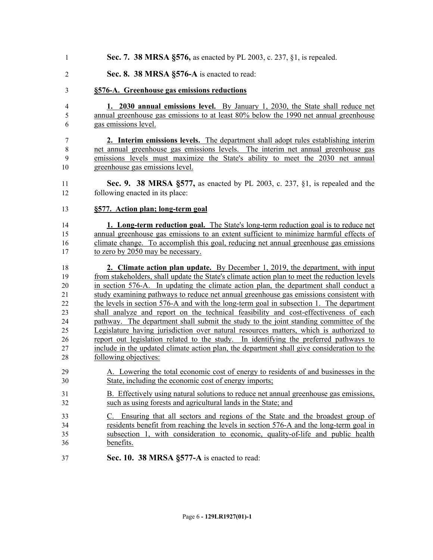- **Sec. 7. 38 MRSA §576,** as enacted by PL 2003, c. 237, §1, is repealed.
- **Sec. 8. 38 MRSA §576-A** is enacted to read:

## **§576-A. Greenhouse gas emissions reductions**

- **1. 2030 annual emissions level.** By January 1, 2030, the State shall reduce net annual greenhouse gas emissions to at least 80% below the 1990 net annual greenhouse gas emissions level.
- **2. Interim emissions levels.** The department shall adopt rules establishing interim net annual greenhouse gas emissions levels. The interim net annual greenhouse gas emissions levels must maximize the State's ability to meet the 2030 net annual greenhouse gas emissions level.
- **Sec. 9. 38 MRSA §577,** as enacted by PL 2003, c. 237, §1, is repealed and the following enacted in its place:
- **§577. Action plan; long-term goal**

 **1. Long-term reduction goal.** The State's long-term reduction goal is to reduce net annual greenhouse gas emissions to an extent sufficient to minimize harmful effects of climate change. To accomplish this goal, reducing net annual greenhouse gas emissions to zero by 2050 may be necessary.

 **2. Climate action plan update.** By December 1, 2019, the department, with input from stakeholders, shall update the State's climate action plan to meet the reduction levels in section 576-A. In updating the climate action plan, the department shall conduct a study examining pathways to reduce net annual greenhouse gas emissions consistent with the levels in section 576-A and with the long-term goal in subsection 1. The department shall analyze and report on the technical feasibility and cost-effectiveness of each pathway. The department shall submit the study to the joint standing committee of the Legislature having jurisdiction over natural resources matters, which is authorized to report out legislation related to the study. In identifying the preferred pathways to include in the updated climate action plan, the department shall give consideration to the following objectives:

- A. Lowering the total economic cost of energy to residents of and businesses in the State, including the economic cost of energy imports;
- B. Effectively using natural solutions to reduce net annual greenhouse gas emissions, such as using forests and agricultural lands in the State; and
- C. Ensuring that all sectors and regions of the State and the broadest group of residents benefit from reaching the levels in section 576-A and the long-term goal in subsection 1, with consideration to economic, quality-of-life and public health benefits.
- **Sec. 10. 38 MRSA §577-A** is enacted to read: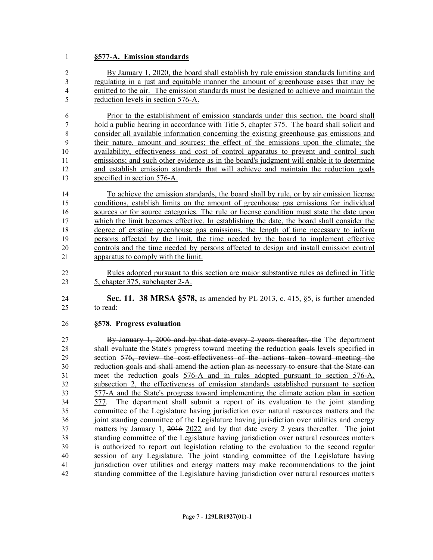### **§577-A. Emission standards**

 By January 1, 2020, the board shall establish by rule emission standards limiting and regulating in a just and equitable manner the amount of greenhouse gases that may be emitted to the air. The emission standards must be designed to achieve and maintain the reduction levels in section 576-A.

 Prior to the establishment of emission standards under this section, the board shall hold a public hearing in accordance with Title 5, chapter 375. The board shall solicit and consider all available information concerning the existing greenhouse gas emissions and their nature, amount and sources; the effect of the emissions upon the climate; the availability, effectiveness and cost of control apparatus to prevent and control such emissions; and such other evidence as in the board's judgment will enable it to determine and establish emission standards that will achieve and maintain the reduction goals 13 specified in section 576-A.

 To achieve the emission standards, the board shall by rule, or by air emission license conditions, establish limits on the amount of greenhouse gas emissions for individual sources or for source categories. The rule or license condition must state the date upon which the limit becomes effective. In establishing the date, the board shall consider the degree of existing greenhouse gas emissions, the length of time necessary to inform persons affected by the limit, the time needed by the board to implement effective controls and the time needed by persons affected to design and install emission control apparatus to comply with the limit.

 Rules adopted pursuant to this section are major substantive rules as defined in Title 5, chapter 375, subchapter 2-A.

 **Sec. 11. 38 MRSA §578,** as amended by PL 2013, c. 415, §5, is further amended to read:

#### **§578. Progress evaluation**

 By January 1, 2006 and by that date every 2 years thereafter, the The department 28 shall evaluate the State's progress toward meeting the reduction goals levels specified in section 576, review the cost-effectiveness of the actions taken toward meeting the reduction goals and shall amend the action plan as necessary to ensure that the State can meet the reduction goals 576-A and in rules adopted pursuant to section 576-A, subsection 2, the effectiveness of emission standards established pursuant to section 577-A and the State's progress toward implementing the climate action plan in section 577. The department shall submit a report of its evaluation to the joint standing committee of the Legislature having jurisdiction over natural resources matters and the joint standing committee of the Legislature having jurisdiction over utilities and energy matters by January 1, 2016 2022 and by that date every 2 years thereafter. The joint standing committee of the Legislature having jurisdiction over natural resources matters is authorized to report out legislation relating to the evaluation to the second regular session of any Legislature. The joint standing committee of the Legislature having jurisdiction over utilities and energy matters may make recommendations to the joint standing committee of the Legislature having jurisdiction over natural resources matters